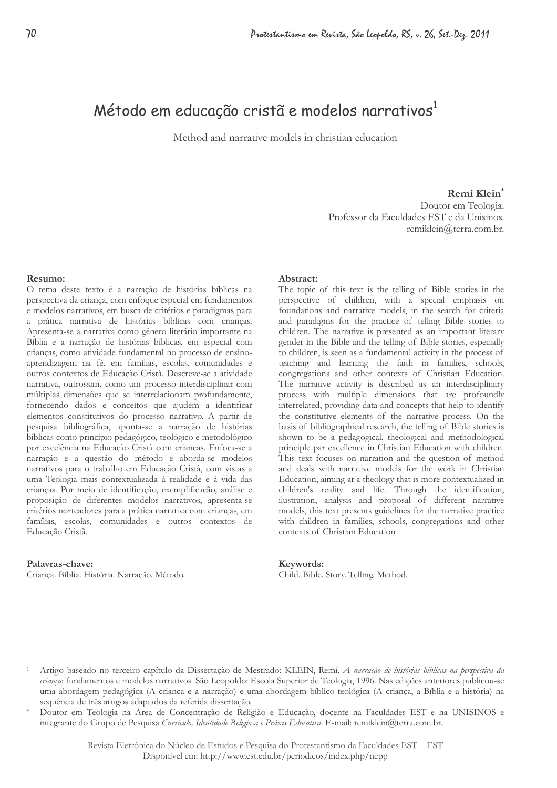# Método em educação cristã e modelos narrativos<sup>1</sup>

Method and narrative models in christian education

### Remí Klein\*

Doutor em Teologia. Professor da Faculdades EST e da Unisinos. remiklein@terra.com.br.

#### Resumo:

O tema deste texto é a narração de histórias bíblicas na perspectiva da criança, com enfoque especial em fundamentos e modelos narrativos, em busca de critérios e paradigmas para a prática narrativa de histórias bíblicas com crianças. Apresenta-se a narrativa como gênero literário importante na Bíblia e a narração de histórias bíblicas, em especial com crianças, como atividade fundamental no processo de ensinoaprendizagem na fé, em famílias, escolas, comunidades e outros contextos de Educação Cristã. Descreve-se a atividade narrativa, outrossim, como um processo interdisciplinar com múltiplas dimensões que se interrelacionam profundamente, fornecendo dados e conceitos que ajudem a identificar elementos constitutivos do processo narrativo. A partir de pesquisa bibliográfica, aponta-se a narração de histórias bíblicas como princípio pedagógico, teológico e metodológico por excelência na Educação Cristã com crianças. Enfoca-se a narração e a questão do método e aborda-se modelos narrativos para o trabalho em Educação Cristã, com vistas a uma Teologia mais contextualizada à realidade e à vida das crianças. Por meio de identificação, exemplificação, análise e proposição de diferentes modelos narrativos, apresenta-se critérios norteadores para a prática narrativa com crianças, em famílias, escolas, comunidades e outros contextos de Educação Cristã.

#### Palavras-chave:

Criança. Bíblia. História. Narração. Método.

#### Abstract:

The topic of this text is the telling of Bible stories in the perspective of children, with a special emphasis on foundations and narrative models, in the search for criteria and paradigms for the practice of telling Bible stories to children. The narrative is presented as an important literary gender in the Bible and the telling of Bible stories, especially to children, is seen as a fundamental activity in the process of teaching and learning the faith in families, schools, congregations and other contexts of Christian Education. The narrative activity is described as an interdisciplinary process with multiple dimensions that are profoundly interrelated, providing data and concepts that help to identify the constitutive elements of the narrative process. On the basis of bibliographical research, the telling of Bible stories is shown to be a pedagogical, theological and methodological principle par excellence in Christian Education with children. This text focuses on narration and the question of method and deals with narrative models for the work in Christian Education, aiming at a theology that is more contextualized in children's reality and life. Through the identification, ilustration, analysis and proposal of different narrative models, this text presents guidelines for the narrative practice with children in families, schools, congregations and other contexts of Christian Education

#### Keywords:

Child. Bible. Story. Telling. Method.

Artigo baseado no terceiro capítulo da Dissertação de Mestrado: KLEIN, Remí. A narração de histórias húblicas na perspectiva da criança: fundamentos e modelos narrativos. São Leopoldo: Escola Superior de Teologia, 1996. Nas edições anteriores publicou-se uma abordagem pedagógica (A crianca e a narração) e uma abordagem bíblico-teológica (A crianca, a Bíblia e a história) na sequência de três artigos adaptados da referida dissertação.

Doutor em Teologia na Área de Concentração de Religião e Educação, docente na Faculdades EST e na UNISINOS e integrante do Grupo de Pesquisa Currículo, Identidade Religiosa e Práxis Educativa. E-mail: remiklein@terra.com.br.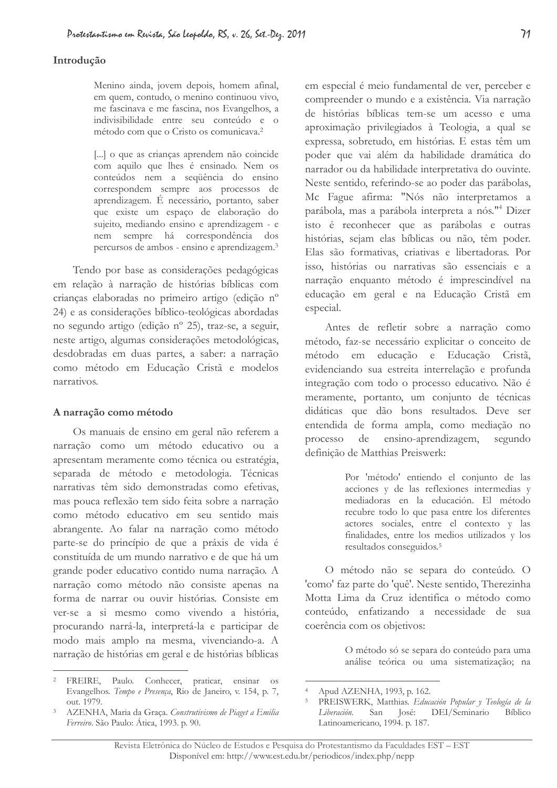# $71$

### Introducão

Menino ainda, jovem depois, homem afinal, em quem, contudo, o menino continuou vivo, me fascinava e me fascina, nos Evangelhos, a indivisibilidade entre seu conteúdo e o método com que o Cristo os comunicava.<sup>2</sup>

[...] o que as crianças aprendem não coincide com aquilo que lhes é ensinado. Nem os conteúdos nem a sequência do ensino correspondem sempre aos processos de aprendizagem. É necessário, portanto, saber que existe um espaco de elaboração do sujeito, mediando ensino e aprendizagem - e nem sempre há correspondência dos percursos de ambos - ensino e aprendizagem.<sup>3</sup>

Tendo por base as considerações pedagógicas em relação à narração de histórias bíblicas com crianças elaboradas no primeiro artigo (edição nº 24) e as considerações bíblico-teológicas abordadas no segundo artigo (edição nº 25), traz-se, a seguir, neste artigo, algumas considerações metodológicas, desdobradas em duas partes, a saber: a narração como método em Educação Cristã e modelos narrativos.

#### A narração como método

Os manuais de ensino em geral não referem a narração como um método educativo ou a apresentam meramente como técnica ou estratégia, separada de método e metodologia. Técnicas narrativas têm sido demonstradas como efetivas, mas pouca reflexão tem sido feita sobre a narração como método educativo em seu sentido mais abrangente. Ao falar na narração como método parte-se do princípio de que a práxis de vida é constituída de um mundo narrativo e de que há um grande poder educativo contido numa narração. A narração como método não consiste apenas na forma de narrar ou ouvir histórias. Consiste em ver-se a si mesmo como vivendo a história. procurando narrá-la, interpretá-la e participar de modo mais amplo na mesma, vivenciando-a. A narração de histórias em geral e de histórias bíblicas

em especial é meio fundamental de ver, perceber e compreender o mundo e a existência. Via narração de histórias bíblicas tem-se um acesso e uma aproximação privilegiados à Teologia, a qual se expressa, sobretudo, em histórias. E estas têm um poder que vai além da habilidade dramática do narrador ou da habilidade interpretativa do ouvinte. Neste sentido, referindo-se ao poder das parábolas, Mc Fague afirma: "Nós não interpretamos a parábola, mas a parábola interpreta a nós."<sup>4</sup> Dizer isto é reconhecer que as parábolas e outras histórias, sejam elas bíblicas ou não, têm poder. Elas são formativas, criativas e libertadoras. Por isso, histórias ou narrativas são essenciais e a narração enquanto método é imprescindível na educação em geral e na Educação Cristã em especial.

Antes de refletir sobre a narração como método, faz-se necessário explicitar o conceito de método em educação e Educação Cristã, evidenciando sua estreita interrelação e profunda integração com todo o processo educativo. Não é meramente, portanto, um conjunto de técnicas didáticas que dão bons resultados. Deve ser entendida de forma ampla, como mediação no processo de ensino-aprendizagem, segundo definição de Matthias Preiswerk:

> Por 'método' entiendo el conjunto de las acciones y de las reflexiones intermedias y mediadoras en la educación. El método recubre todo lo que pasa entre los diferentes actores sociales, entre el contexto y las finalidades, entre los medios utilizados y los resultados conseguidos.<sup>5</sup>

O método não se separa do conteúdo. O 'como' faz parte do 'quê'. Neste sentido, Therezinha Motta Lima da Cruz identifica o método como conteúdo, enfatizando a necessidade de sua coerência com os objetivos:

> O método só se separa do conteúdo para uma análise teórica ou uma sistematização; na

<sup>&</sup>lt;sup>2</sup> FREIRE, Paulo. Conhecer, praticar, ensinar os Evangelhos. Tempo e Presença, Rio de Janeiro, v. 154, p. 7, out. 1979.

AZENHA, Maria da Graça. Construtivismo de Piaget a Emilia Ferreiro. São Paulo: Ática, 1993. p. 90.

Apud AZENHA, 1993, p. 162.

PREISWERK, Matthias. Educación Popular y Teología de la Liberación. San José: DEI/Seminario Bíblico Latinoamericano, 1994. p. 187.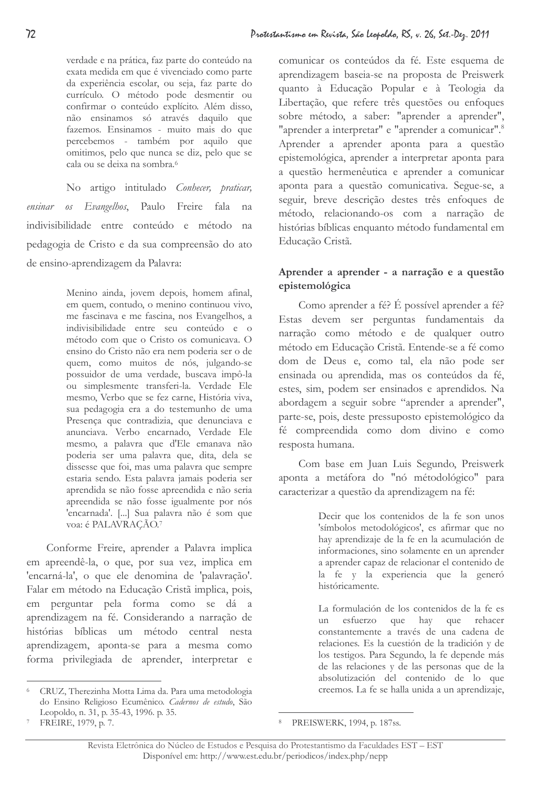verdade e na prática, faz parte do conteúdo na exata medida em que é vivenciado como parte da experiência escolar, ou seja, faz parte do currículo. O método pode desmentir ou confirmar o conteúdo explícito. Além disso, não ensinamos só através daquilo que fazemos. Ensinamos - muito mais do que percebemos - também por aquilo que omitimos, pelo que nunca se diz, pelo que se cala ou se deixa na sombra.<sup>6</sup>

No artigo intitulado Conhecer, praticar, os Evangelhos, Paulo Freire fala ensinar na indivisibilidade entre conteúdo e método na pedagogia de Cristo e da sua compreensão do ato de ensino-aprendizagem da Palavra:

> Menino ainda, jovem depois, homem afinal, em quem, contudo, o menino continuou vivo, me fascinava e me fascina, nos Evangelhos, a indivisibilidade entre seu conteúdo e o método com que o Cristo os comunicava. O ensino do Cristo não era nem poderia ser o de quem, como muitos de nós, julgando-se possuidor de uma verdade, buscava impô-la ou simplesmente transferi-la. Verdade Ele mesmo, Verbo que se fez carne, História viva, sua pedagogia era a do testemunho de uma Presença que contradizia, que denunciava e anunciava. Verbo encarnado, Verdade Ele mesmo, a palavra que d'Ele emanava não poderia ser uma palavra que, dita, dela se dissesse que foi, mas uma palavra que sempre estaria sendo. Esta palavra jamais poderia ser aprendida se não fosse apreendida e não seria apreendida se não fosse igualmente por nós 'encarnada'. [ ... ] Sua palavra não é som que voa: é PALAVRAÇÃO.7

Conforme Freire, aprender a Palavra implica em apreendê-la, o que, por sua vez, implica em 'encarná-la', o que ele denomina de 'palavração'. Falar em método na Educação Cristã implica, pois, em perguntar pela forma como se dá a aprendizagem na fé. Considerando a narração de histórias bíblicas um método central nesta aprendizagem, aponta-se para a mesma como forma privilegiada de aprender, interpretar e

# Aprender a aprender - a narração e a questão epistemológica

Como aprender a fé? É possível aprender a fé? Estas devem ser perguntas fundamentais da narração como método e de qualquer outro método em Educação Cristã. Entende-se a fé como dom de Deus e, como tal, ela não pode ser ensinada ou aprendida, mas os conteúdos da fé, estes, sim, podem ser ensinados e aprendidos. Na abordagem a seguir sobre "aprender a aprender", parte-se, pois, deste pressuposto epistemológico da fé compreendida como dom divino e como resposta humana.

Com base em Juan Luis Segundo, Preiswerk aponta a metáfora do "nó métodológico" para caracterizar a questão da aprendizagem na fé:

> Decir que los contenidos de la fe son unos 'símbolos metodológicos', es afirmar que no hay aprendizaje de la fe en la acumulación de informaciones, sino solamente en un aprender a aprender capaz de relacionar el contenido de la fe y la experiencia que la generó históricamente.

> La formulación de los contenidos de la fe es un esfuerzo que hay que rehacer constantemente a través de una cadena de relaciones. Es la cuestión de la tradición y de los testigos. Para Segundo, la fe depende más de las relaciones y de las personas que de la absolutización del contenido de lo que creemos. La fe se halla unida a un aprendizaje,

CRUZ. Therezinha Motta Lima da. Para uma metodologia do Ensino Religioso Ecumênico. Cadernos de estudo, São Leopoldo, n. 31, p. 35-43, 1996. p. 35.

comunicar os conteúdos da fé. Este esquema de aprendizagem baseia-se na proposta de Preiswerk quanto à Educação Popular e à Teologia da Libertação, que refere três questões ou enfoques sobre método, a saber: "aprender a aprender", "aprender a interpretar" e "aprender a comunicar".<sup>8</sup> Aprender a aprender aponta para a questão epistemológica, aprender a interpretar aponta para a questão hermenêutica e aprender a comunicar aponta para a questão comunicativa. Segue-se, a seguir, breve descrição destes três enfoques de método, relacionando-os com a narração de histórias bíblicas enquanto método fundamental em Educação Cristã.

<sup>8</sup> PREISWERK, 1994, p. 187ss.

FREIRE, 1979, p. 7.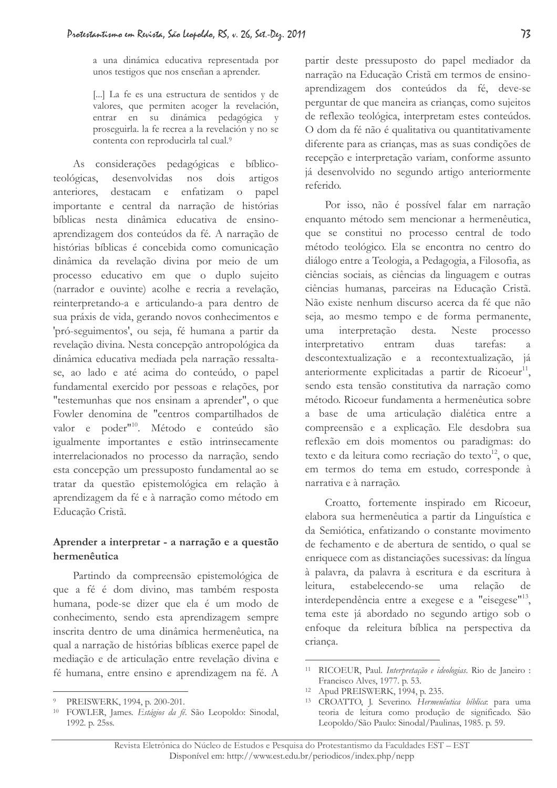a una dinámica educativa representada por unos testigos que nos enseñan a aprender.

[...] La fe es una estructura de sentidos y de valores, que permiten acoger la revelación, entrar en su dinámica pedagógica y proseguirla. la fe recrea a la revelación y no se contenta con reproducirla tal cual.9

As considerações pedagógicas e biblicoteológicas. desenvolvidas nos dois artigos anteriores. destacam e enfatizam o papel importante e central da narração de histórias bíblicas nesta dinâmica educativa de ensinoaprendizagem dos conteúdos da fé. A narração de histórias bíblicas é concebida como comunicação dinâmica da revelação divina por meio de um processo educativo em que o duplo sujeito (narrador e ouvinte) acolhe e recria a revelação, reinterpretando-a e articulando-a para dentro de sua práxis de vida, gerando novos conhecimentos e 'pró-seguimentos', ou seja, fé humana a partir da revelação divina. Nesta concepção antropológica da dinâmica educativa mediada pela narração ressaltase, ao lado e até acima do conteúdo, o papel fundamental exercido por pessoas e relações, por "testemunhas que nos ensinam a aprender", o que Fowler denomina de "centros compartilhados de valor e poder<sup>"10</sup>. Método e conteúdo são igualmente importantes e estão intrinsecamente interrelacionados no processo da narração, sendo esta concepção um pressuposto fundamental ao se tratar da questão epistemológica em relação à aprendizagem da fé e à narração como método em Educação Cristã.

### Aprender a interpretar - a narração e a questão hermenêutica

Partindo da compreensão epistemológica de que a fé é dom divino, mas também resposta humana, pode-se dizer que ela é um modo de conhecimento, sendo esta aprendizagem sempre inscrita dentro de uma dinâmica hermenêutica, na qual a narração de histórias bíblicas exerce papel de mediação e de articulação entre revelação divina e fé humana, entre ensino e aprendizagem na fé. A

partir deste pressuposto do papel mediador da narração na Educação Cristã em termos de ensinoaprendizagem dos conteúdos da fé, deve-se perguntar de que maneira as crianças, como sujeitos de reflexão teológica, interpretam estes conteúdos. O dom da fé não é qualitativa ou quantitativamente diferente para as crianças, mas as suas condições de recepção e interpretação variam, conforme assunto já desenvolvido no segundo artigo anteriormente referido.

Por isso, não é possível falar em narração enquanto método sem mencionar a hermenêutica, que se constitui no processo central de todo método teológico. Ela se encontra no centro do diálogo entre a Teologia, a Pedagogia, a Filosofia, as ciências sociais, as ciências da linguagem e outras ciências humanas, parceiras na Educação Cristã. Não existe nenhum discurso acerca da fé que não seja, ao mesmo tempo e de forma permanente, interpretação desta. **Neste** processo uma interpretativo entram duas tarefas:  $\overline{a}$ descontextualização e a recontextualização, já anteriormente explicitadas a partir de Ricoeur<sup>11</sup>, sendo esta tensão constitutiva da narração como método. Ricoeur fundamenta a hermenêutica sobre a base de uma articulação dialética entre a compreensão e a explicação. Ele desdobra sua reflexão em dois momentos ou paradigmas: do texto e da leitura como recriação do texto<sup>12</sup>, o que, em termos do tema em estudo, corresponde à narrativa e à narração.

Croatto, fortemente inspirado em Ricoeur, elabora sua hermenêutica a partir da Linguística e da Semiótica, enfatizando o constante movimento de fechamento e de abertura de sentido, o qual se enriquece com as distanciações sucessivas: da língua à palavra, da palavra à escritura e da escritura à leitura, estabelecendo-se uma relação  $d\rho$ interdependência entre a exegese e a "eisegese"<sup>13</sup>, tema este já abordado no segundo artigo sob o enfoque da releitura bíblica na perspectiva da crianca.

PREISWERK, 1994, p. 200-201.

<sup>&</sup>lt;sup>10</sup> FOWLER, James. Estágios da fé. São Leopoldo: Sinodal, 1992. p. 25ss.

<sup>&</sup>lt;sup>11</sup> RICOEUR, Paul. Interpretação e ideologias. Rio de Janeiro : Francisco Alves, 1977. p. 53.

<sup>&</sup>lt;sup>12</sup> Apud PREISWERK, 1994, p. 235.

<sup>&</sup>lt;sup>13</sup> CROATTO, J. Severino. Hermenêutica bíblica: para uma teoria de leitura como produção de significado. São Leopoldo/São Paulo: Sinodal/Paulinas, 1985. p. 59.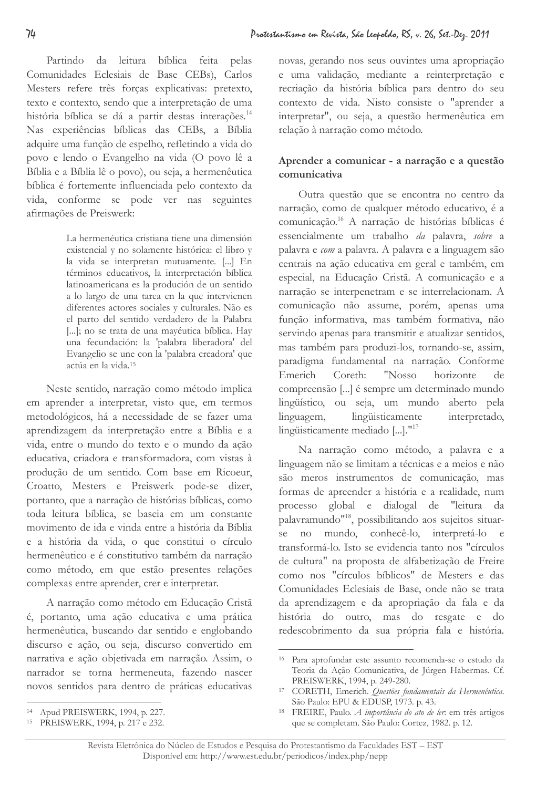Partindo da leitura bíblica feita pelas Comunidades Eclesiais de Base CEBs), Carlos Mesters refere três forças explicativas: pretexto, texto e contexto, sendo que a interpretação de uma história bíblica se dá a partir destas interações.<sup>14</sup> Nas experiências bíblicas das CEBs, a Bíblia adquire uma função de espelho, refletindo a vida do povo e lendo o Evangelho na vida (O povo lê a Bíblia e a Bíblia lê o povo), ou seja, a hermenêutica bíblica é fortemente influenciada pelo contexto da vida, conforme se pode ver nas seguintes afirmações de Preiswerk:

> La hermenéutica cristiana tiene una dimensión existencial y no solamente histórica: el libro y la vida se interpretan mutuamente. [...] En términos educativos, la interpretación bíblica latinoamericana es la produción de un sentido a lo largo de una tarea en la que intervienen diferentes actores sociales y culturales. Não es el parto del sentido verdadero de la Palabra [...]; no se trata de una mayéutica bíblica. Hay una fecundación: la 'palabra liberadora' del Evangelio se une con la 'palabra creadora' que actúa en la vida.<sup>15</sup>

Neste sentido, narração como método implica em aprender a interpretar, visto que, em termos metodológicos, há a necessidade de se fazer uma aprendizagem da interpretação entre a Bíblia e a vida, entre o mundo do texto e o mundo da ação educativa, criadora e transformadora, com vistas à produção de um sentido. Com base em Ricoeur, Croatto, Mesters e Preiswerk pode-se dizer, portanto, que a narração de histórias bíblicas, como toda leitura bíblica, se baseia em um constante movimento de ida e vinda entre a história da Bíblia e a história da vida, o que constitui o círculo hermenêutico e é constitutivo também da narração como método, em que estão presentes relações complexas entre aprender, crer e interpretar.

A narração como método em Educação Cristã é, portanto, uma ação educativa e uma prática hermenêutica, buscando dar sentido e englobando discurso e ação, ou seja, discurso convertido em narrativa e ação objetivada em narração. Assim, o narrador se torna hermeneuta, fazendo nascer novos sentidos para dentro de práticas educativas

novas, gerando nos seus ouvintes uma apropriação e uma validação, mediante a reinterpretação e recriação da história bíblica para dentro do seu contexto de vida. Nisto consiste o "aprender a interpretar", ou seja, a questão hermenêutica em relação à narração como método.

# Aprender a comunicar - a narração e a questão comunicativa

Outra questão que se encontra no centro da narração, como de qualquer método educativo, é a comunicação.<sup>16</sup> A narração de histórias bíblicas é essencialmente um trabalho da palavra, sobre a palavra e com a palavra. A palavra e a linguagem são centrais na ação educativa em geral e também, em especial, na Educação Cristã. A comunicação e a narração se interpenetram e se interrelacionam. A comunicação não assume, porém, apenas uma função informativa, mas também formativa, não servindo apenas para transmitir e atualizar sentidos, mas também para produzi-los, tornando-se, assim, paradigma fundamental na narração. Conforme Emerich Coreth: "Nosso horizonte de compreensão [...] é sempre um determinado mundo lingüístico, ou seja, um mundo aberto pela lingüisticamente linguagem, interpretado, lingüisticamente mediado  $\left[\ldots\right]$ ."<sup>17</sup>

Na narração como método, a palavra e a linguagem não se limitam a técnicas e a meios e não são meros instrumentos de comunicação, mas formas de apreender a história e a realidade, num processo global e dialogal de "leitura da palavramundo"<sup>18</sup>, possibilitando aos sujeitos situarse no mundo, conhecê-lo, interpretá-lo e transformá-lo. Isto se evidencia tanto nos "círculos de cultura" na proposta de alfabetização de Freire como nos "círculos bíblicos" de Mesters e das Comunidades Eclesiais de Base, onde não se trata da aprendizagem e da apropriação da fala e da história do outro, mas do resgate e do redescobrimento da sua própria fala e história.

Apud PREISWERK, 1994, p. 227.

<sup>&</sup>lt;sup>15</sup> PREISWERK, 1994, p. 217 e 232.

<sup>&</sup>lt;sup>16</sup> Para aprofundar este assunto recomenda-se o estudo da Teoria da Ação Comunicativa, de Jürgen Habermas. Cf. PREISWERK, 1994, p. 249-280.

<sup>&</sup>lt;sup>17</sup> CORETH, Emerich. *Questões fundamentais da Hermenêutica*. São Paulo: EPU & EDUSP, 1973. p. 43.

<sup>18</sup> FREIRE, Paulo. A importância do ato de ler. em três artigos que se completam. São Paulo: Cortez, 1982. p. 12.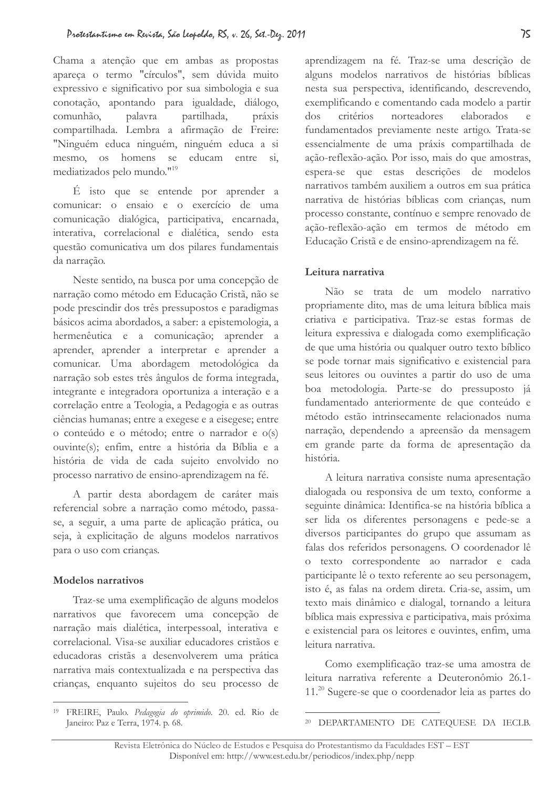Chama a atenção que em ambas as propostas apareça o termo "círculos", sem dúvida muito expressivo e significativo por sua simbologia e sua conotação, apontando para igualdade, diálogo, comunhão, palavra partilhada, práxis compartilhada. Lembra a afirmação de Freire: "Ninguém educa ninguém, ninguém educa a si mesmo, os homens se educam entre si, mediatizados pelo mundo."<sup>19</sup>

É isto que se entende por aprender a comunicar: o ensaio e o exercício de uma comunicação dialógica, participativa, encarnada, interativa, correlacional e dialética, sendo esta questão comunicativa um dos pilares fundamentais da narração.

Neste sentido, na busca por uma concepção de narração como método em Educação Cristã, não se pode prescindir dos três pressupostos e paradigmas básicos acima abordados, a saber: a epistemologia, a hermenêutica e a comunicação; aprender a aprender, aprender a interpretar e aprender a comunicar. Uma abordagem metodológica da narração sob estes três ângulos de forma integrada, integrante e integradora oportuniza a interação e a correlação entre a Teologia, a Pedagogia e as outras ciências humanas; entre a exegese e a eisegese; entre o conteúdo e o método; entre o narrador e o(s) ouvinte(s); enfim, entre a história da Bíblia e a história de vida de cada sujeito envolvido no processo narrativo de ensino-aprendizagem na fé.

A partir desta abordagem de caráter mais referencial sobre a narração como método, passase, a seguir, a uma parte de aplicação prática, ou seja, à explicitação de alguns modelos narrativos para o uso com crianças.

### Modelos narrativos

Traz-se uma exemplificação de alguns modelos narrativos que favorecem uma concepção de narração mais dialética, interpessoal, interativa e correlacional. Visa-se auxiliar educadores cristãos e educadoras cristãs a desenvolverem uma prática narrativa mais contextualizada e na perspectiva das crianças, enquanto sujeitos do seu processo de aprendizagem na fé. Traz-se uma descrição de alguns modelos narrativos de histórias bíblicas nesta sua perspectiva, identificando, descrevendo, exemplificando e comentando cada modelo a partir critérios norteadores elaborados  $\frac{1}{2}$ fundamentados previamente neste artigo. Trata-se essencialmente de uma práxis compartilhada de ação-reflexão-ação. Por isso, mais do que amostras, espera-se que estas descrições de modelos narrativos também auxiliem a outros em sua prática narrativa de histórias bíblicas com crianças, num processo constante, contínuo e sempre renovado de ação-reflexão-ação em termos de método em Educação Cristã e de ensino-aprendizagem na fé.

### Leitura narrativa

Não se trata de um modelo narrativo propriamente dito, mas de uma leitura bíblica mais criativa e participativa. Traz-se estas formas de leitura expressiva e dialogada como exemplificação de que uma história ou qualquer outro texto bíblico se pode tornar mais significativo e existencial para seus leitores ou ouvintes a partir do uso de uma boa metodologia. Parte-se do pressuposto já fundamentado anteriormente de que conteúdo e método estão intrinsecamente relacionados numa narração, dependendo a apreensão da mensagem em grande parte da forma de apresentação da história.

A leitura narrativa consiste numa apresentação dialogada ou responsiva de um texto, conforme a seguinte dinâmica: Identifica-se na história bíblica a ser lida os diferentes personagens e pede-se a diversos participantes do grupo que assumam as falas dos referidos personagens. O coordenador lê o texto correspondente ao narrador e cada participante lê o texto referente ao seu personagem, isto é, as falas na ordem direta. Cria-se, assim, um texto mais dinâmico e dialogal, tornando a leitura bíblica mais expressiva e participativa, mais próxima e existencial para os leitores e ouvintes, enfim, uma leitura narrativa.

Como exemplificação traz-se uma amostra de leitura narrativa referente a Deuteronômio 26.1-11.<sup>20</sup> Sugere-se que o coordenador leia as partes do

<sup>&</sup>lt;sup>19</sup> FREIRE, Paulo. Pedagogia do oprimido. 20. ed. Rio de Janeiro: Paz e Terra, 1974. p. 68.

<sup>&</sup>lt;sup>20</sup> DEPARTAMENTO DE CATEQUESE DA IECLB.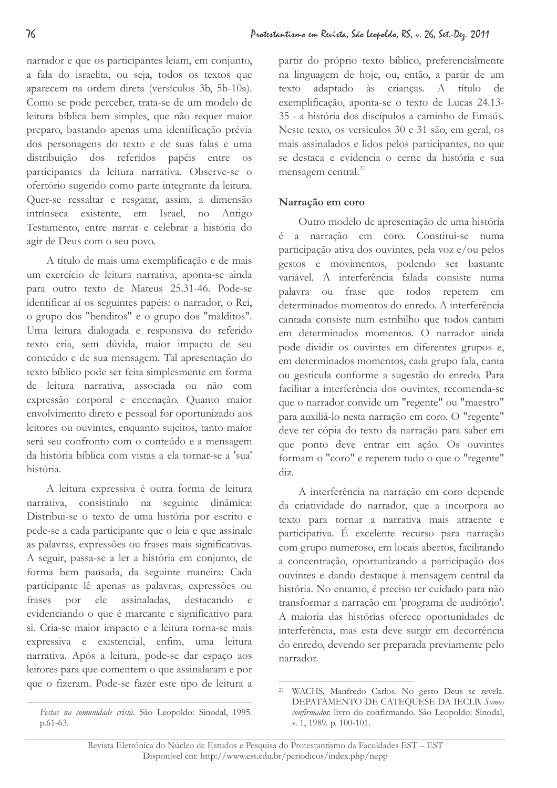narrador e que os participantes leiam, em conjunto, a fala do israelita, ou seja, todos os textos que aparecem na ordem direta (versículos 3b, 5b-10a). Como se pode perceber, trata-se de um modelo de leitura bíblica bem simples, que não requer maior preparo, bastando apenas uma identificação prévia dos personagens do texto e de suas falas e uma distribuição dos referidos papéis entre os participantes da leitura narrativa. Observe-se o ofertório sugerido como parte integrante da leitura. Quer-se ressaltar e resgatar, assim, a dimensão intrínseca existente, em Israel, no Antigo Testamento, entre narrar e celebrar a história do agir de Deus com o seu povo.

A título de mais uma exemplificação e de mais um exercício de leitura narrativa, aponta-se ainda para outro texto de Mateus 25.31-46. Pode-se identificar aí os seguintes papéis: o narrador, o Rei, o grupo dos "benditos" e o grupo dos "malditos". Uma leitura dialogada e responsiva do referido texto cria, sem dúvida, maior impacto de seu conteúdo e de sua mensagem. Tal apresentação do texto bíblico pode ser feita simplesmente em forma de leitura narrativa, associada ou não com expressão corporal e encenação. Quanto maior envolvimento direto e pessoal for oportunizado aos leitores ou ouvintes, enquanto sujeitos, tanto maior será seu confronto com o conteúdo e a mensagem da história bíblica com vistas a ela tornar-se a 'sua' história

A leitura expressiva é outra forma de leitura narrativa, consistindo na seguinte dinâmica: Distribui-se o texto de uma história por escrito e pede-se a cada participante que o leia e que assinale as palavras, expressões ou frases mais significativas. A seguir, passa-se a ler a história em conjunto, de forma bem pausada, da seguinte maneira: Cada participante lê apenas as palavras, expressões ou frases por ele assinaladas, destacando e evidenciando o que é marcante e significativo para si. Cria-se maior impacto e a leitura torna-se mais expressiva e existencial, enfim, uma leitura narrativa. Após a leitura, pode-se dar espaço aos leitores para que comentem o que assinalaram e por que o fizeram. Pode-se fazer este tipo de leitura a

partir do próprio texto bíblico, preferencialmente na linguagem de hoje, ou, então, a partir de um texto adaptado às crianças. A título de exemplificação, aponta-se o texto de Lucas 24.13-35 - a história dos discípulos a caminho de Emaús. Neste texto, os versículos 30 e 31 são, em geral, os mais assinalados e lidos pelos participantes, no que se destaca e evidencia o cerne da história e sua mensagem central.<sup>21</sup>

## Narração em coro

Outro modelo de apresentação de uma história é a narração em coro. Constitui-se numa participação ativa dos ouvintes, pela voz e/ou pelos gestos e movimentos, podendo ser bastante variável. A interferência falada consiste numa palavra ou frase que todos repetem em determinados momentos do enredo. A interferência cantada consiste num estribilho que todos cantam em determinados momentos. O narrador ainda pode dividir os ouvintes em diferentes grupos e, em determinados momentos, cada grupo fala, canta ou gesticula conforme a sugestão do enredo. Para facilitar a interferência dos ouvintes, recomenda-se que o narrador convide um "regente" ou "maestro" para auxiliá-lo nesta narração em coro. O "regente" deve ter cópia do texto da narração para saber em que ponto deve entrar em ação. Os ouvintes formam o "coro" e repetem tudo o que o "regente" diz.

A interferência na narração em coro depende da criatividade do narrador, que a incorpora ao texto para tornar a narrativa mais atraente e participativa. É excelente recurso para narração com grupo numeroso, em locais abertos, facilitando a concentração, oportunizando a participação dos ouvintes e dando destaque à mensagem central da história. No entanto, é preciso ter cuidado para não transformar a narração em 'programa de auditório'. A maioria das histórias oferece oportunidades de interferência, mas esta deve surgir em decorrência do enredo, devendo ser preparada previamente pelo narrador.

Festas na comunidade cristã. São Leopoldo: Sinodal, 1995.  $p.61-63$ .

<sup>&</sup>lt;sup>21</sup> WACHS, Manfredo Carlos. No gesto Deus se revela. DEPATAMENTO DE CATEQUESE DA IECLB. Somos confirmados: livro do confirmando. São Leopoldo: Sinodal, v. 1, 1989. p. 100-101.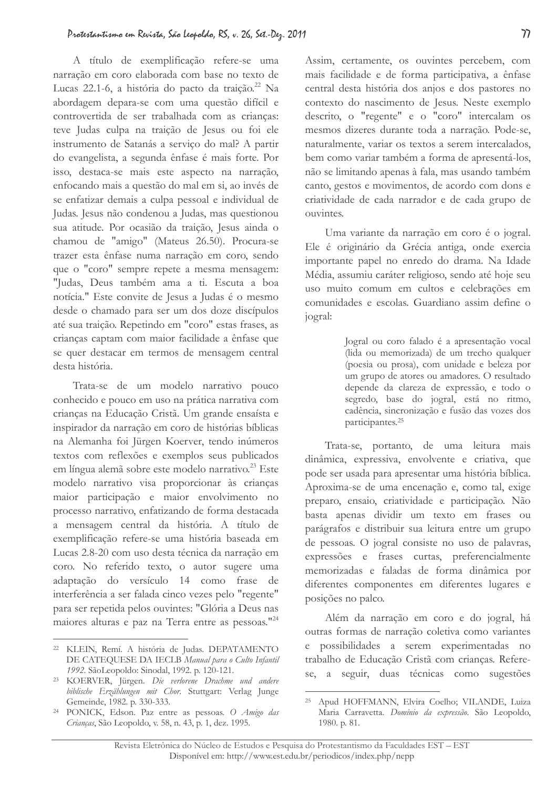A título de exemplificação refere-se uma narração em coro elaborada com base no texto de Lucas 22.1-6, a história do pacto da traição.<sup>22</sup> Na abordagem depara-se com uma questão difícil e controvertida de ser trabalhada com as crianças: teve Judas culpa na traição de Jesus ou foi ele instrumento de Satanás a serviço do mal? A partir do evangelista, a segunda ênfase é mais forte. Por isso, destaca-se mais este aspecto na narração, enfocando mais a questão do mal em si, ao invés de se enfatizar demais a culpa pessoal e individual de Judas. Jesus não condenou a Judas, mas questionou sua atitude. Por ocasião da traição, Jesus ainda o chamou de "amigo" (Mateus 26.50). Procura-se trazer esta ênfase numa narração em coro, sendo que o "coro" sempre repete a mesma mensagem: "Judas, Deus também ama a ti. Escuta a boa notícia." Este convite de Jesus a Judas é o mesmo desde o chamado para ser um dos doze discípulos até sua traição. Repetindo em "coro" estas frases, as crianças captam com maior facilidade a ênfase que se quer destacar em termos de mensagem central desta história.

Trata-se de um modelo narrativo pouco conhecido e pouco em uso na prática narrativa com crianças na Educação Cristã. Um grande ensaísta e inspirador da narração em coro de histórias bíblicas na Alemanha foi Jürgen Koerver, tendo inúmeros textos com reflexões e exemplos seus publicados em língua alemã sobre este modelo narrativo.<sup>23</sup> Este modelo narrativo visa proporcionar às crianças maior participação e maior envolvimento no processo narrativo, enfatizando de forma destacada a mensagem central da história. A título de exemplificação refere-se uma história baseada em Lucas 2.8-20 com uso desta técnica da narração em coro. No referido texto, o autor sugere uma adaptação do versículo 14 como frase de interferência a ser falada cinco vezes pelo "regente" para ser repetida pelos ouvintes: "Glória a Deus nas maiores alturas e paz na Terra entre as pessoas."<sup>24</sup>

Assim, certamente, os ouvintes percebem, com mais facilidade e de forma participativa, a ênfase central desta história dos anjos e dos pastores no contexto do nascimento de Jesus. Neste exemplo descrito, o "regente" e o "coro" intercalam os mesmos dizeres durante toda a narração. Pode-se, naturalmente, variar os textos a serem intercalados, bem como variar também a forma de apresentá-los, não se limitando apenas à fala, mas usando também canto, gestos e movimentos, de acordo com dons e criatividade de cada narrador e de cada grupo de ouvintes.

Uma variante da narração em coro é o jogral. Ele é originário da Grécia antiga, onde exercia importante papel no enredo do drama. Na Idade Média, assumiu caráter religioso, sendo até hoje seu uso muito comum em cultos e celebrações em comunidades e escolas. Guardiano assim define o jogral:

> Jogral ou coro falado é a apresentação vocal (lida ou memorizada) de um trecho qualquer (poesia ou prosa), com unidade e beleza por um grupo de atores ou amadores. O resultado depende da clareza de expressão, e todo o segredo, base do jogral, está no ritmo, cadência, sincronização e fusão das vozes dos participantes.<sup>25</sup>

Trata-se, portanto, de uma leitura mais dinâmica, expressiva, envolvente e criativa, que pode ser usada para apresentar uma história bíblica. Aproxima-se de uma encenação e, como tal, exige preparo, ensaio, criatividade e participação. Não basta apenas dividir um texto em frases ou parágrafos e distribuir sua leitura entre um grupo de pessoas. O jogral consiste no uso de palavras, expressões e frases curtas, preferencialmente memorizadas e faladas de forma dinâmica por diferentes componentes em diferentes lugares e posições no palco.

Além da narração em coro e do jogral, há outras formas de narração coletiva como variantes e possibilidades a serem experimentadas no trabalho de Educação Cristã com crianças. Referese, a seguir, duas técnicas como sugestões

<sup>&</sup>lt;sup>22</sup> KLEIN, Remí. A história de Judas. DEPATAMENTO DE CATEQUESE DA IECLB Manual para o Culto Infantil 1992. SãoLeopoldo: Sinodal, 1992. p. 120-121.

<sup>&</sup>lt;sup>23</sup> KOERVER, Jürgen. Die verlorene Drachme und andere biblische Erzählungen mit Chor. Stuttgart: Verlag Junge Gemeinde, 1982. p. 330-333.

<sup>&</sup>lt;sup>24</sup> PONICK, Edson. Paz entre as pessoas. O Amigo das Crianças, São Leopoldo, v. 58, n. 43, p. 1, dez. 1995.

<sup>&</sup>lt;sup>25</sup> Apud HOFFMANN, Elvira Coelho; VILANDE, Luiza Maria Carravetta. Domínio da expressão. São Leopoldo, 1980. p. 81.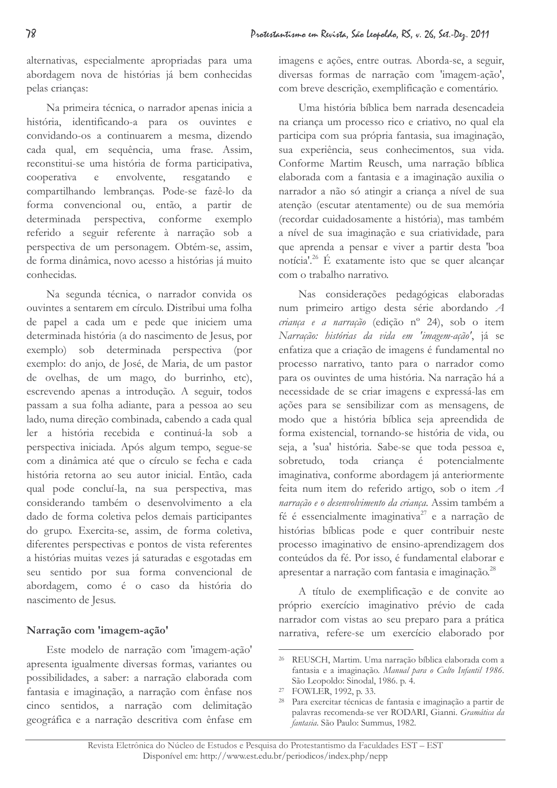alternativas, especialmente apropriadas para uma abordagem nova de histórias já bem conhecidas pelas crianças:

Na primeira técnica, o narrador apenas inicia a história, identificando-a para os ouvintes e convidando-os a continuarem a mesma, dizendo cada qual, em sequência, uma frase. Assim, reconstitui-se uma história de forma participativa, envolvente, cooperativa e resgatando compartilhando lembranças. Pode-se fazê-lo da forma convencional ou, então, a partir de determinada perspectiva, conforme exemplo referido a seguir referente à narração sob a perspectiva de um personagem. Obtém-se, assim, de forma dinâmica, novo acesso a histórias já muito conhecidas.

Na segunda técnica, o narrador convida os ouvintes a sentarem em círculo. Distribui uma folha de papel a cada um e pede que iniciem uma determinada história (a do nascimento de Jesus, por exemplo) sob determinada perspectiva (por exemplo: do anjo, de José, de Maria, de um pastor de ovelhas, de um mago, do burrinho, etc), escrevendo apenas a introdução. A seguir, todos passam a sua folha adiante, para a pessoa ao seu lado, numa direção combinada, cabendo a cada qual ler a história recebida e continuá-la sob a perspectiva iniciada. Após algum tempo, segue-se com a dinâmica até que o círculo se fecha e cada história retorna ao seu autor inicial. Então, cada qual pode concluí-la, na sua perspectiva, mas considerando também o desenvolvimento a ela dado de forma coletiva pelos demais participantes do grupo. Exercita-se, assim, de forma coletiva, diferentes perspectivas e pontos de vista referentes a histórias muitas vezes já saturadas e esgotadas em seu sentido por sua forma convencional de abordagem, como é o caso da história do nascimento de Jesus.

# Narração com 'imagem-ação'

Este modelo de narração com 'imagem-ação' apresenta igualmente diversas formas, variantes ou possibilidades, a saber: a narração elaborada com fantasia e imaginação, a narração com ênfase nos cinco sentidos, a narração com delimitação geográfica e a narração descritiva com ênfase em imagens e ações, entre outras. Aborda-se, a seguir, diversas formas de narração com 'imagem-ação', com breve descrição, exemplificação e comentário.

Uma história bíblica bem narrada desencadeia na criança um processo rico e criativo, no qual ela participa com sua própria fantasia, sua imaginação, sua experiência, seus conhecimentos, sua vida. Conforme Martim Reusch, uma narração bíblica elaborada com a fantasia e a imaginação auxilia o narrador a não só atingir a criança a nível de sua atenção (escutar atentamente) ou de sua memória (recordar cuidadosamente a história), mas também a nível de sua imaginação e sua criatividade, para que aprenda a pensar e viver a partir desta 'boa notícia<sup>' 26</sup> É exatamente isto que se quer alcançar com o trabalho narrativo.

Nas considerações pedagógicas elaboradas num primeiro artigo desta série abordando A criança e a narração (edição nº 24), sob o item Narração: histórias da vida em 'imagem-ação', já se enfatiza que a criação de imagens é fundamental no processo narrativo, tanto para o narrador como para os ouvintes de uma história. Na narração há a necessidade de se criar imagens e expressá-las em ações para se sensibilizar com as mensagens, de modo que a história bíblica seja apreendida de forma existencial, tornando-se história de vida, ou seja, a 'sua' história. Sabe-se que toda pessoa e, toda criança é sobretudo, potencialmente imaginativa, conforme abordagem já anteriormente feita num item do referido artigo, sob o item A narração e o desenvolvimento da criança. Assim também a fé é essencialmente imaginativa<sup>27</sup> e a narração de histórias bíblicas pode e quer contribuir neste processo imaginativo de ensino-aprendizagem dos conteúdos da fé. Por isso, é fundamental elaborar e apresentar a narração com fantasia e imaginação.<sup>28</sup>

A título de exemplificação e de convite ao próprio exercício imaginativo prévio de cada narrador com vistas ao seu preparo para a prática narrativa, refere-se um exercício elaborado por

<sup>26</sup> REUSCH, Martim. Uma narração bíblica elaborada com a fantasia e a imaginação. Manual para o Culto Infantil 1986. São Leopoldo: Sinodal, 1986. p. 4.

<sup>&</sup>lt;sup>27</sup> FOWLER, 1992, p. 33.

<sup>&</sup>lt;sup>28</sup> Para exercitar técnicas de fantasia e imaginação a partir de palavras recomenda-se ver RODARI, Gianni. Gramática da fantasia. São Paulo: Summus, 1982.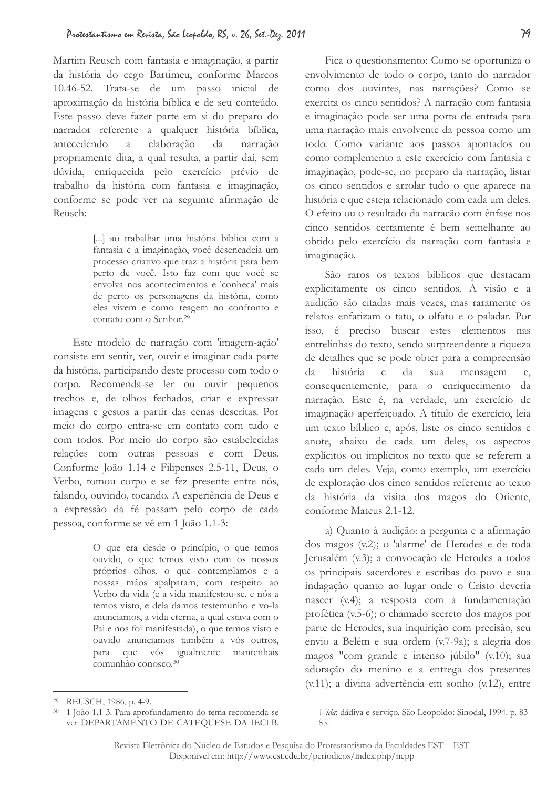Martim Reusch com fantasia e imaginação, a partir da história do cego Bartimeu, conforme Marcos 10.46-52. Trata-se de um passo inicial de aproximação da história bíblica e de seu conteúdo. Este passo deve fazer parte em si do preparo do narrador referente a qualquer história bíblica, antecedendo  $\alpha$ elaboração da narração propriamente dita, a qual resulta, a partir daí, sem dúvida, enriquecida pelo exercício prévio de trabalho da história com fantasia e imaginação, conforme se pode ver na seguinte afirmação de Reusch<sup>.</sup>

> [...] ao trabalhar uma história bíblica com a fantasia e a imaginação, você desencadeia um processo criativo que traz a história para bem perto de você. Isto faz com que você se envolva nos acontecimentos e 'conheça' mais de perto os personagens da história, como eles vivem e como reagem no confronto e contato com o Senhor.<sup>29</sup>

Este modelo de narração com 'imagem-ação' consiste em sentir, ver, ouvir e imaginar cada parte da história, participando deste processo com todo o corpo. Recomenda-se ler ou ouvir pequenos trechos e, de olhos fechados, criar e expressar imagens e gestos a partir das cenas descritas. Por meio do corpo entra-se em contato com tudo e com todos. Por meio do corpo são estabelecidas relações com outras pessoas e com Deus. Conforme João 1.14 e Filipenses 2.5-11, Deus, o Verbo, tomou corpo e se fez presente entre nós, falando, ouvindo, tocando. A experiência de Deus e a expressão da fé passam pelo corpo de cada pessoa, conforme se vê em 1 João 1.1-3:

> O que era desde o princípio, o que temos ouvido, o que temos visto com os nossos próprios olhos, o que contemplamos e a nossas mãos apalparam, com respeito ao Verbo da vida (e a vida manifestou-se, e nós a temos visto, e dela damos testemunho e vo-la anunciamos, a vida eterna, a qual estava com o Pai e nos foi manifestada), o que temos visto e ouvido anunciamos também a vós outros, para que vós igualmente mantenhais comunhão conosco.<sup>30</sup>

Fica o questionamento: Como se oportuniza o envolvimento de todo o corpo, tanto do narrador como dos ouvintes, nas narrações? Como se exercita os cinco sentidos? A narração com fantasia e imaginação pode ser uma porta de entrada para uma narração mais envolvente da pessoa como um todo. Como variante aos passos apontados ou como complemento a este exercício com fantasia e imaginação, pode-se, no preparo da narração, listar os cinco sentidos e arrolar tudo o que aparece na história e que esteja relacionado com cada um deles. O efeito ou o resultado da narração com ênfase nos cinco sentidos certamente é bem semelhante ao obtido pelo exercício da narração com fantasia e imaginação.

São raros os textos bíblicos que destacam explicitamente os cinco sentidos. A visão e a audição são citadas mais vezes, mas raramente os relatos enfatizam o tato, o olfato e o paladar. Por isso, é preciso buscar estes elementos nas entrelinhas do texto, sendo surpreendente a riqueza de detalhes que se pode obter para a compreensão  $da$ história  $\mathsf{e}$ da sua mensagem  $\mathbf{e}$ consequentemente, para o enriquecimento da narração. Este é, na verdade, um exercício de imaginação aperfeiçoado. A título de exercício, leia um texto bíblico e, após, liste os cinco sentidos e anote, abaixo de cada um deles, os aspectos explícitos ou implícitos no texto que se referem a cada um deles. Veja, como exemplo, um exercício de exploração dos cinco sentidos referente ao texto da história da visita dos magos do Oriente, conforme Mateus 2.1-12.

a) Quanto à audição: a pergunta e a afirmação dos magos (v.2); o 'alarme' de Herodes e de toda Jerusalém (v.3); a convocação de Herodes a todos os principais sacerdotes e escribas do povo e sua indagação quanto ao lugar onde o Cristo deveria nascer (v.4); a resposta com a fundamentação profética (v.5-6); o chamado secreto dos magos por parte de Herodes, sua inquirição com precisão, seu envio a Belém e sua ordem (v.7-9a); a alegria dos magos "com grande e intenso júbilo" (v.10); sua adoração do menino e a entrega dos presentes (v.11); a divina advertência em sonho (v.12), entre

<sup>&</sup>lt;sup>29</sup> REUSCH, 1986, p. 4-9.

<sup>30 1</sup> João 1.1-3. Para aprofundamento do tema recomenda-se ver DEPARTAMENTO DE CATEQUESE DA IECLB.

Vida: dádiva e serviço. São Leopoldo: Sinodal, 1994. p. 83-85.

Revista Eletrônica do Núcleo de Estudos e Pesquisa do Protestantismo da Faculdades EST - EST Disponível em: http://www.est.edu.br/periodicos/index.php/nepp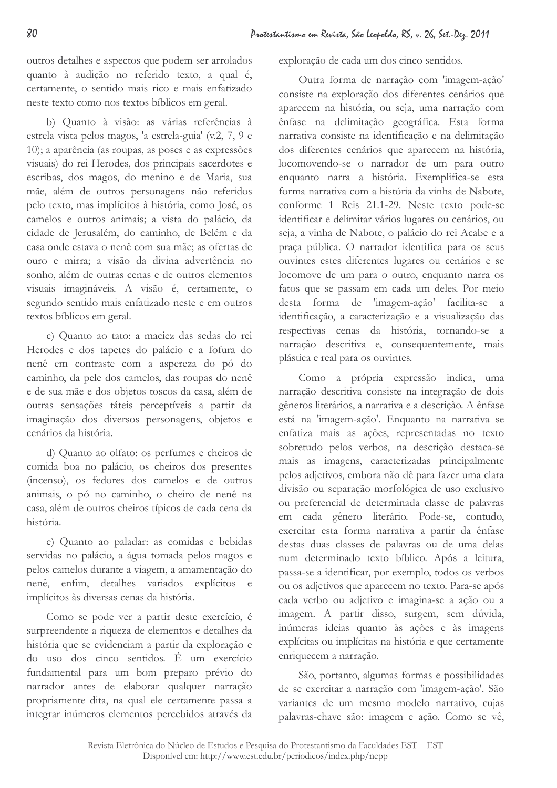outros detalhes e aspectos que podem ser arrolados quanto à audição no referido texto, a qual é, certamente, o sentido mais rico e mais enfatizado neste texto como nos textos bíblicos em geral.

b) Quanto à visão: as várias referências à estrela vista pelos magos, 'a estrela-guia' (v.2, 7, 9 e 10); a aparência (as roupas, as poses e as expressões visuais) do rei Herodes, dos principais sacerdotes e escribas, dos magos, do menino e de Maria, sua mãe, além de outros personagens não referidos pelo texto, mas implícitos à história, como José, os camelos e outros animais; a vista do palácio, da cidade de Jerusalém, do caminho, de Belém e da casa onde estava o nenê com sua mãe: as ofertas de ouro e mirra: a visão da divina advertência no sonho, além de outras cenas e de outros elementos visuais imagináveis. A visão é, certamente, o segundo sentido mais enfatizado neste e em outros textos bíblicos em geral.

c) Quanto ao tato: a maciez das sedas do rei Herodes e dos tapetes do palácio e a fofura do nenê em contraste com a aspereza do pó do caminho, da pele dos camelos, das roupas do nenê e de sua mãe e dos objetos toscos da casa, além de outras sensações táteis perceptíveis a partir da imaginação dos diversos personagens, objetos e cenários da história.

d) Quanto ao olfato: os perfumes e cheiros de comida boa no palácio, os cheiros dos presentes (incenso), os fedores dos camelos e de outros animais, o pó no caminho, o cheiro de nenê na casa, além de outros cheiros típicos de cada cena da história.

e) Quanto ao paladar: as comidas e bebidas servidas no palácio, a água tomada pelos magos e pelos camelos durante a viagem, a amamentação do nenê, enfim, detalhes variados explícitos e implícitos às diversas cenas da história.

Como se pode ver a partir deste exercício, é surpreendente a riqueza de elementos e detalhes da história que se evidenciam a partir da exploração e do uso dos cinco sentidos. É um exercício fundamental para um bom preparo prévio do narrador antes de elaborar qualquer narração propriamente dita, na qual ele certamente passa a integrar inúmeros elementos percebidos através da exploração de cada um dos cinco sentidos.

Outra forma de narração com 'imagem-ação' consiste na exploração dos diferentes cenários que aparecem na história, ou seja, uma narração com ênfase na delimitação geográfica. Esta forma narrativa consiste na identificação e na delimitação dos diferentes cenários que aparecem na história, locomovendo-se o narrador de um para outro enquanto narra a história. Exemplifica-se esta forma narrativa com a história da vinha de Nabote. conforme 1 Reis 21.1-29. Neste texto pode-se identificar e delimitar vários lugares ou cenários, ou seja, a vinha de Nabote, o palácio do rei Acabe e a praça pública. O narrador identifica para os seus ouvintes estes diferentes lugares ou cenários e se locomove de um para o outro, enquanto narra os fatos que se passam em cada um deles. Por meio desta forma de 'imagem-ação' facilita-se a identificação, a caracterização e a visualização das respectivas cenas da história, tornando-se a narração descritiva e, consequentemente, mais plástica e real para os ouvintes.

Como a própria expressão indica, uma narração descritiva consiste na integração de dois gêneros literários, a narrativa e a descrição. A ênfase está na 'imagem-ação'. Enquanto na narrativa se enfatiza mais as ações, representadas no texto sobretudo pelos verbos, na descrição destaca-se mais as imagens, caracterizadas principalmente pelos adjetivos, embora não dê para fazer uma clara divisão ou separação morfológica de uso exclusivo ou preferencial de determinada classe de palavras em cada gênero literário. Pode-se, contudo, exercitar esta forma narrativa a partir da ênfase destas duas classes de palavras ou de uma delas num determinado texto bíblico. Após a leitura, passa-se a identificar, por exemplo, todos os verbos ou os adjetivos que aparecem no texto. Para-se após cada verbo ou adjetivo e imagina-se a ação ou a imagem. A partir disso, surgem, sem dúvida, inúmeras ideias quanto às ações e às imagens explícitas ou implícitas na história e que certamente enriquecem a narração.

São, portanto, algumas formas e possibilidades de se exercitar a narração com 'imagem-ação'. São variantes de um mesmo modelo narrativo, cujas palavras-chave são: imagem e ação. Como se vê,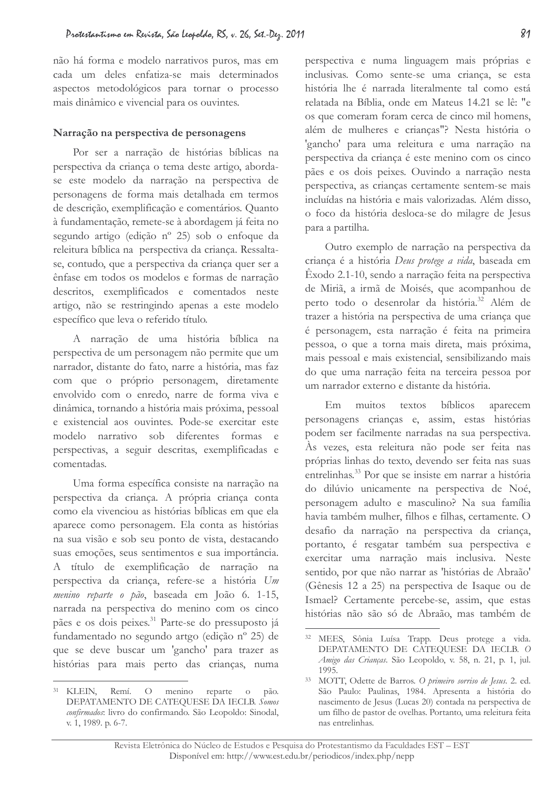não há forma e modelo narrativos puros, mas em cada um deles enfatiza-se mais determinados aspectos metodológicos para tornar o processo mais dinâmico e vivencial para os ouvintes.

### Narração na perspectiva de personagens

Por ser a narração de histórias bíblicas na perspectiva da criança o tema deste artigo, abordase este modelo da narração na perspectiva de personagens de forma mais detalhada em termos de descrição, exemplificação e comentários. Quanto à fundamentação, remete-se à abordagem já feita no segundo artigo (edição nº 25) sob o enfoque da releitura bíblica na perspectiva da criança. Ressaltase, contudo, que a perspectiva da criança quer ser a ênfase em todos os modelos e formas de narração descritos, exemplificados e comentados neste artigo, não se restringindo apenas a este modelo específico que leva o referido título.

A narração de uma história bíblica na perspectiva de um personagem não permite que um narrador, distante do fato, narre a história, mas faz com que o próprio personagem, diretamente envolvido com o enredo, narre de forma viva e dinâmica, tornando a história mais próxima, pessoal e existencial aos ouvintes. Pode-se exercitar este modelo narrativo sob diferentes formas e perspectivas, a seguir descritas, exemplificadas e comentadas.

Uma forma específica consiste na narração na perspectiva da criança. A própria criança conta como ela vivenciou as histórias bíblicas em que ela aparece como personagem. Ela conta as histórias na sua visão e sob seu ponto de vista, destacando suas emoções, seus sentimentos e sua importância. A título de exemplificação de narração na perspectiva da criança, refere-se a história Um menino reparte o pão, baseada em João 6. 1-15, narrada na perspectiva do menino com os cinco pães e os dois peixes.<sup>31</sup> Parte-se do pressuposto já fundamentado no segundo artgo (edição nº 25) de que se deve buscar um 'gancho' para trazer as histórias para mais perto das crianças, numa

perspectiva e numa linguagem mais próprias e inclusivas. Como sente-se uma criança, se esta história lhe é narrada literalmente tal como está relatada na Bíblia, onde em Mateus 14.21 se lê: "e os que comeram foram cerca de cinco mil homens, além de mulheres e crianças"? Nesta história o 'gancho' para uma releitura e uma narração na perspectiva da criança é este menino com os cinco pães e os dois peixes. Ouvindo a narração nesta perspectiva, as crianças certamente sentem-se mais incluídas na história e mais valorizadas. Além disso, o foco da história desloca-se do milagre de Jesus para a partilha.

Outro exemplo de narração na perspectiva da criança é a história Deus protege a vida, baseada em Êxodo 2.1-10, sendo a narração feita na perspectiva de Miriã, a irmã de Moisés, que acompanhou de perto todo o desenrolar da história.<sup>32</sup> Além de trazer a história na perspectiva de uma criança que é personagem, esta narração é feita na primeira pessoa, o que a torna mais direta, mais próxima, mais pessoal e mais existencial, sensibilizando mais do que uma narração feita na terceira pessoa por um narrador externo e distante da história.

muitos textos **bíblicos**  $Em$ aparecem personagens crianças e, assim, estas histórias podem ser facilmente narradas na sua perspectiva. Às vezes, esta releitura não pode ser feita nas próprias linhas do texto, devendo ser feita nas suas entrelinhas.<sup>33</sup> Por que se insiste em narrar a história do dilúvio unicamente na perspectiva de Noé, personagem adulto e masculino? Na sua família havia também mulher, filhos e filhas, certamente. O desafio da narração na perspectiva da criança, portanto, é resgatar também sua perspectiva e exercitar uma narração mais inclusiva. Neste sentido, por que não narrar as 'histórias de Abraão' (Gênesis 12 a 25) na perspectiva de Isaque ou de Ismael? Certamente percebe-se, assim, que estas histórias não são só de Abraão, mas também de

 $31$  KLEIN. Remí.  $O$  menino reparte o pão. DEPATAMENTO DE CATEQUESE DA IECLB. Somos confirmados: livro do confirmando. São Leopoldo: Sinodal, v. 1, 1989. p. 6-7.

<sup>&</sup>lt;sup>32</sup> MEES, Sônia Luísa Trapp. Deus protege a vida. DEPATAMENTO DE CATEQUESE DA IECLB. O Amigo das Crianças. São Leopoldo, v. 58, n. 21, p. 1, jul.  $1995.$ 

<sup>&</sup>lt;sup>33</sup> MOTT, Odette de Barros. O primeiro sorriso de Jesus. 2. ed. São Paulo: Paulinas, 1984. Apresenta a história do nascimento de Jesus (Lucas 20) contada na perspectiva de um filho de pastor de ovelhas. Portanto, uma releitura feita nas entrelinhas.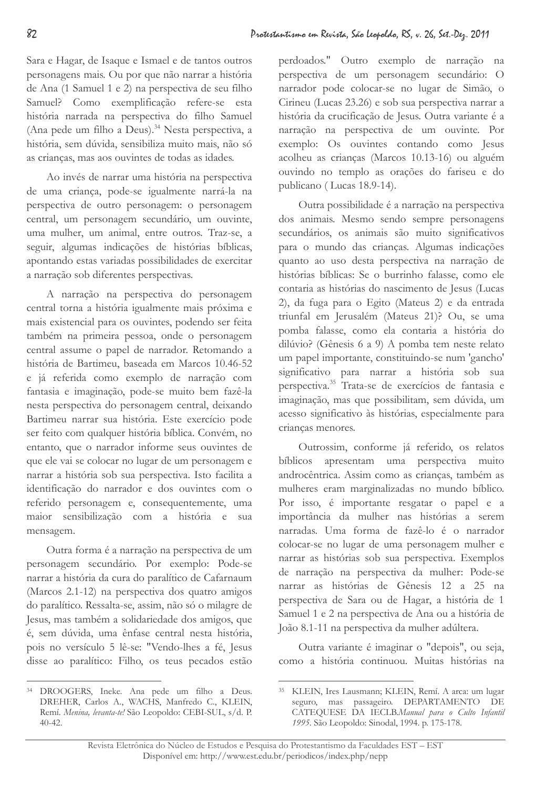Sara e Hagar, de Isaque e Ismael e de tantos outros personagens mais. Ou por que não narrar a história de Ana (1 Samuel 1 e 2) na perspectiva de seu filho Samuel? Como exemplificação refere-se esta história narrada na perspectiva do filho Samuel (Ana pede um filho a Deus).<sup>34</sup> Nesta perspectiva, a história, sem dúvida, sensibiliza muito mais, não só as crianças, mas aos ouvintes de todas as idades.

Ao invés de narrar uma história na perspectiva de uma criança, pode-se igualmente narrá-la na perspectiva de outro personagem: o personagem central, um personagem secundário, um ouvinte, uma mulher, um animal, entre outros. Traz-se, a seguir, algumas indicações de histórias bíblicas, apontando estas variadas possibilidades de exercitar a narração sob diferentes perspectivas.

A narração na perspectiva do personagem central torna a história igualmente mais próxima e mais existencial para os ouvintes, podendo ser feita também na primeira pessoa, onde o personagem central assume o papel de narrador. Retomando a história de Bartimeu, baseada em Marcos 10.46-52 e já referida como exemplo de narração com fantasia e imaginação, pode-se muito bem fazê-la nesta perspectiva do personagem central, deixando Bartimeu narrar sua história. Este exercício pode ser feito com qualquer história bíblica. Convém, no entanto, que o narrador informe seus ouvintes de que ele vai se colocar no lugar de um personagem e narrar a história sob sua perspectiva. Isto facilita a identificação do narrador e dos ouvintes com o referido personagem e, consequentemente, uma maior sensibilização com a história e sua mensagem.

Outra forma é a narração na perspectiva de um personagem secundário. Por exemplo: Pode-se narrar a história da cura do paralítico de Cafarnaum (Marcos 2.1-12) na perspectiva dos quatro amigos do paralítico. Ressalta-se, assim, não só o milagre de Jesus, mas também a solidariedade dos amigos, que é, sem dúvida, uma ênfase central nesta história, pois no versículo 5 lê-se: "Vendo-lhes a fé, Jesus disse ao paralítico: Filho, os teus pecados estão perdoados." Outro exemplo de narração na perspectiva de um personagem secundário: O narrador pode colocar-se no lugar de Simão, o Cirineu (Lucas 23.26) e sob sua perspectiva narrar a história da crucificação de Jesus. Outra variante é a narração na perspectiva de um ouvinte. Por exemplo: Os ouvintes contando como Jesus acolheu as crianças (Marcos 10.13-16) ou alguém ouvindo no templo as orações do fariseu e do publicano (Lucas 18.9-14).

Outra possibilidade é a narração na perspectiva dos animais. Mesmo sendo sempre personagens secundários, os animais são muito significativos para o mundo das crianças. Algumas indicações quanto ao uso desta perspectiva na narração de histórias bíblicas: Se o burrinho falasse, como ele contaria as histórias do nascimento de Jesus (Lucas 2), da fuga para o Egito (Mateus 2) e da entrada triunfal em Jerusalém (Mateus 21)? Ou, se uma pomba falasse, como ela contaria a história do dilúvio? (Gênesis 6 a 9) A pomba tem neste relato um papel importante, constituindo-se num 'gancho' significativo para narrar a história sob sua perspectiva.<sup>35</sup> Trata-se de exercícios de fantasia e imaginação, mas que possibilitam, sem dúvida, um acesso significativo às histórias, especialmente para criancas menores.

Outrossim, conforme já referido, os relatos bíblicos apresentam uma perspectiva muito androcêntrica. Assim como as crianças, também as mulheres eram marginalizadas no mundo bíblico. Por isso, é importante resgatar o papel e a importância da mulher nas histórias a serem narradas. Uma forma de fazê-lo é o narrador colocar-se no lugar de uma personagem mulher e narrar as histórias sob sua perspectiva. Exemplos de narração na perspectiva da mulher: Pode-se narrar as histórias de Gênesis 12 a 25 na perspectiva de Sara ou de Hagar, a história de 1 Samuel 1 e 2 na perspectiva de Ana ou a história de João 8.1-11 na perspectiva da mulher adúltera.

Outra variante é imaginar o "depois", ou seja, como a história continuou. Muitas histórias na

<sup>&</sup>lt;sup>34</sup> DROOGERS, Ineke. Ana pede um filho a Deus. DREHER, Carlos A., WACHS, Manfredo C., KLEIN, Remí. Menina, levanta-te! São Leopoldo: CEBI-SUL, s/d. P.  $40 - 42.$ 

<sup>&</sup>lt;sup>35</sup> KLEIN, Ires Lausmann; KLEIN, Remí. A arca: um lugar seguro, mas passageiro. DEPARTAMENTO DE CATEQUESE DA IECLB.Manual para o Culto Infantil 1995. São Leopoldo: Sinodal, 1994. p. 175-178.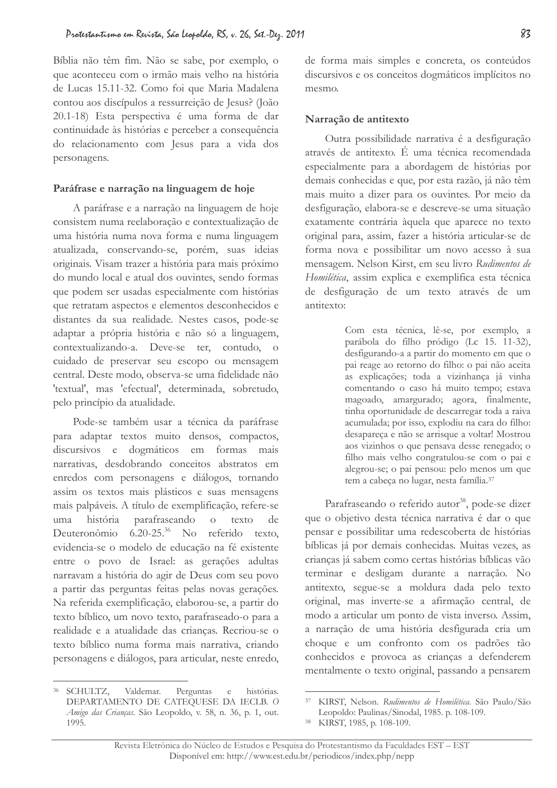Bíblia não têm fim. Não se sabe, por exemplo, o que aconteceu com o irmão mais velho na história de Lucas 15.11-32. Como foi que Maria Madalena contou aos discípulos a ressurreição de Jesus? (João 20.1-18) Esta perspectiva é uma forma de dar continuidade às histórias e perceber a consequência do relacionamento com Jesus para a vida dos personagens.

#### Paráfrase e narração na linguagem de hoje

A paráfrase e a narração na linguagem de hoje consistem numa reelaboração e contextualização de uma história numa nova forma e numa linguagem atualizada, conservando-se, porém, suas ideias originais. Visam trazer a história para mais próximo do mundo local e atual dos ouvintes, sendo formas que podem ser usadas especialmente com histórias que retratam aspectos e elementos desconhecidos e distantes da sua realidade. Nestes casos, pode-se adaptar a própria história e não só a linguagem, contextualizando-a. Deve-se ter, contudo, o cuidado de preservar seu escopo ou mensagem central. Deste modo, observa-se uma fidelidade não 'textual', mas 'efectual', determinada, sobretudo, pelo princípio da atualidade.

Pode-se também usar a técnica da paráfrase para adaptar textos muito densos, compactos, discursivos e dogmáticos em formas mais narrativas, desdobrando conceitos abstratos em enredos com personagens e diálogos, tornando assim os textos mais plásticos e suas mensagens mais palpáveis. A título de exemplificação, refere-se uma. história parafraseando  $\overline{O}$ texto  $de$ Deuteronômio 6.20-25.<sup>36</sup> No referido texto. evidencia-se o modelo de educação na fé existente entre o povo de Israel: as gerações adultas narravam a história do agir de Deus com seu povo a partir das perguntas feitas pelas novas gerações. Na referida exemplificação, elaborou-se, a partir do texto bíblico, um novo texto, parafraseado-o para a realidade e a atualidade das crianças. Recriou-se o texto bíblico numa forma mais narrativa, criando personagens e diálogos, para articular, neste enredo,

de forma mais simples e concreta, os conteúdos discursivos e os conceitos dogmáticos implícitos no mesmo.

#### Narração de antitexto

Outra possibilidade narrativa é a desfiguração através de antitexto. É uma técnica recomendada especialmente para a abordagem de histórias por demais conhecidas e que, por esta razão, já não têm mais muito a dizer para os ouvintes. Por meio da desfiguração, elabora-se e descreve-se uma situação exatamente contrária àquela que aparece no texto original para, assim, fazer a história articular-se de forma nova e possibilitar um novo acesso à sua mensagem. Nelson Kirst, em seu livro Rudimentos de Homilética, assim explica e exemplifica esta técnica de desfiguração de um texto através de um antitexto:

> Com esta técnica, lê-se, por exemplo, a parábola do filho pródigo (Lc 15. 11-32), desfigurando-a a partir do momento em que o pai reage ao retorno do filho: o pai não aceita as explicações; toda a vizinhança já vinha comentando o caso há muito tempo; estava magoado, amargurado; agora, finalmente, tinha oportunidade de descarregar toda a raiva acumulada; por isso, explodiu na cara do filho: desapareça e não se arrisque a voltar! Mostrou aos vizinhos o que pensava desse renegado; o filho mais velho congratulou-se com o pai e alegrou-se; o pai pensou: pelo menos um que tem a cabeça no lugar, nesta família.<sup>37</sup>

Parafraseando o referido autor<sup>38</sup>, pode-se dizer que o objetivo desta técnica narrativa é dar o que pensar e possibilitar uma redescoberta de histórias bíblicas já por demais conhecidas. Muitas vezes, as criancas já sabem como certas histórias bíblicas vão terminar e desligam durante a narração. No antitexto, segue-se a moldura dada pelo texto original, mas inverte-se a afirmação central, de modo a articular um ponto de vista inverso. Assim, a narração de uma história desfigurada cria um choque e um confronto com os padrões tão conhecidos e provoca as crianças a defenderem mentalmente o texto original, passando a pensarem

<sup>&</sup>lt;sup>36</sup> SCHULTZ. Valdemar. Perguntas  $\epsilon$ histórias. DEPARTAMENTO DE CATEQUESE DA IECLB. O Amigo das Crianças. São Leopoldo, v. 58, n. 36, p. 1, out.  $1995.$ 

<sup>37</sup> KIRST, Nelson, Rudimentos de Homilética, São Paulo/São Leopoldo: Paulinas/Sinodal, 1985. p. 108-109.

<sup>&</sup>lt;sup>38</sup> KIRST, 1985, p. 108-109.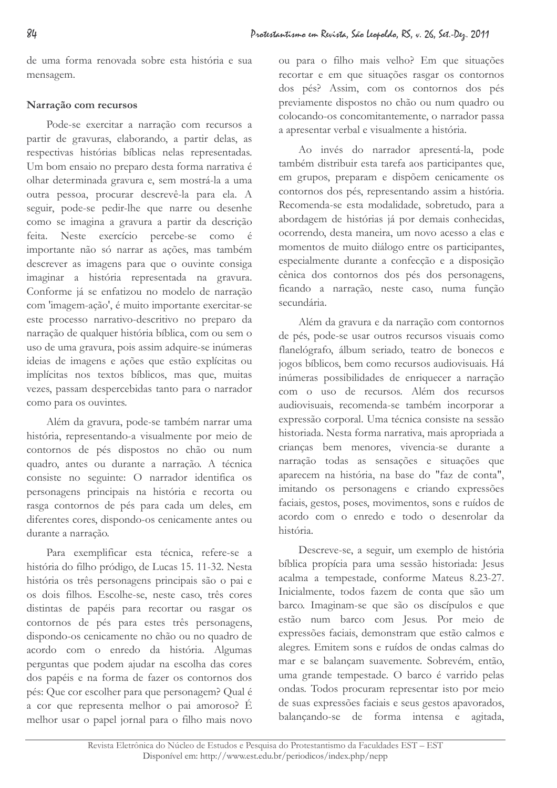de uma forma renovada sobre esta história e sua mensagem.

# Narração com recursos

Pode-se exercitar a narração com recursos a partir de gravuras, elaborando, a partir delas, as respectivas histórias bíblicas nelas representadas. Um bom ensaio no preparo desta forma narrativa é olhar determinada gravura e, sem mostrá-la a uma outra pessoa, procurar descrevê-la para ela. A seguir, pode-se pedir-lhe que narre ou desenhe como se imagina a gravura a partir da descrição Neste exercício percebe-se como é feita. importante não só narrar as ações, mas também descrever as imagens para que o ouvinte consiga imaginar a história representada na gravura. Conforme já se enfatizou no modelo de narração com 'imagem-ação', é muito importante exercitar-se este processo narrativo-descritivo no preparo da narração de qualquer história bíblica, com ou sem o uso de uma gravura, pois assim adquire-se inúmeras ideias de imagens e ações que estão explícitas ou implícitas nos textos bíblicos, mas que, muitas vezes, passam despercebidas tanto para o narrador como para os ouvintes.

Além da gravura, pode-se também narrar uma história, representando-a visualmente por meio de contornos de pés dispostos no chão ou num quadro, antes ou durante a narração. A técnica consiste no seguinte: O narrador identifica os personagens principais na história e recorta ou rasga contornos de pés para cada um deles, em diferentes cores, dispondo-os cenicamente antes ou durante a narração.

Para exemplificar esta técnica, refere-se a história do filho pródigo, de Lucas 15. 11-32. Nesta história os três personagens principais são o pai e os dois filhos. Escolhe-se, neste caso, três cores distintas de papéis para recortar ou rasgar os contornos de pés para estes três personagens, dispondo-os cenicamente no chão ou no quadro de acordo com o enredo da história. Algumas perguntas que podem ajudar na escolha das cores dos papéis e na forma de fazer os contornos dos pés: Que cor escolher para que personagem? Qual é a cor que representa melhor o pai amoroso? É melhor usar o papel jornal para o filho mais novo

ou para o filho mais velho? Em que situações recortar e em que situações rasgar os contornos dos pés? Assim, com os contornos dos pés previamente dispostos no chão ou num quadro ou colocando-os concomitantemente, o narrador passa a apresentar verbal e visualmente a história.

Ao invés do narrador apresentá-la, pode também distribuir esta tarefa aos participantes que, em grupos, preparam e dispõem cenicamente os contornos dos pés, representando assim a história. Recomenda-se esta modalidade, sobretudo, para a abordagem de histórias já por demais conhecidas, ocorrendo, desta maneira, um novo acesso a elas e momentos de muito diálogo entre os participantes, especialmente durante a confecção e a disposição cênica dos contornos dos pés dos personagens, ficando a narração, neste caso, numa função secundária.

Além da gravura e da narração com contornos de pés, pode-se usar outros recursos visuais como flanelógrafo, álbum seriado, teatro de bonecos e jogos bíblicos, bem como recursos audiovisuais. Há inúmeras possibilidades de enriquecer a narração com o uso de recursos. Além dos recursos audiovisuais, recomenda-se também incorporar a expressão corporal. Uma técnica consiste na sessão historiada. Nesta forma narrativa, mais apropriada a crianças bem menores, vivencia-se durante a narração todas as sensações e situações que aparecem na história, na base do "faz de conta", imitando os personagens e criando expressões faciais, gestos, poses, movimentos, sons e ruídos de acordo com o enredo e todo o desenrolar da história.

Descreve-se, a seguir, um exemplo de história bíblica propícia para uma sessão historiada: Jesus acalma a tempestade, conforme Mateus 8.23-27. Inicialmente, todos fazem de conta que são um barco. Imaginam-se que são os discípulos e que estão num barco com Jesus. Por meio de expressões faciais, demonstram que estão calmos e alegres. Emitem sons e ruídos de ondas calmas do mar e se balançam suavemente. Sobrevém, então, uma grande tempestade. O barco é varrido pelas ondas. Todos procuram representar isto por meio de suas expressões faciais e seus gestos apavorados, balançando-se de forma intensa e agitada,